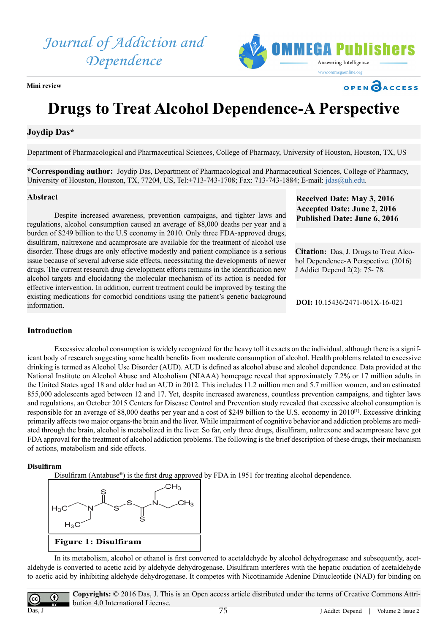*Journal of Addiction and Dependence*



**Mini review** 

**Drugs to Treat Alcohol Dependence-A Perspective**

# **Joydip Das\***

Department of Pharmacological and Pharmaceutical Sciences, College of Pharmacy, University of Houston, Houston, TX, US

**\*Corresponding author:** Joydip Das, Department of Pharmacological and Pharmaceutical Sciences, College of Pharmacy, University of Houston, Houston, TX, 77204, US, Tel:+713-743-1708; Fax: 713-743-1884; E-mail: [jdas@uh.edu](mailto:jdas@uh.edu).

### **Abstract**

Despite increased awareness, prevention campaigns, and tighter laws and regulations, alcohol consumption caused an average of 88,000 deaths per year and a burden of \$249 billion to the U.S economy in 2010. Only three FDA-approved drugs, disulfiram, naltrexone and acamprosate are available for the treatment of alcohol use disorder. These drugs are only effective modestly and patient compliance is a serious issue because of several adverse side effects, necessitating the developments of newer drugs. The current research drug development efforts remains in the identification new alcohol targets and elucidating the molecular mechanism of its action is needed for effective intervention. In addition, current treatment could be improved by testing the existing medications for comorbid conditions using the patient's genetic background information.

**Received Date: May 3, 2016 Accepted Date: June 2, 2016 Published Date: June 6, 2016**

**OPEN CACCESS** 

**Citation:** Das, J. Drugs to Treat Alcohol Dependence-A Perspective. (2016) J Addict Depend 2(2): 75- 78.

**DOI:** [10.15436/2471-061X-16-0](http://www.dx.doi.org/10.15436/2471-061X-16-021)21

## **Introduction**

Excessive alcohol consumption is widely recognized for the heavy toll it exacts on the individual, although there is a significant body of research suggesting some health benefits from moderate consumption of alcohol. Health problems related to excessive drinking is termed as Alcohol Use Disorder (AUD). AUD is defined as alcohol abuse and alcohol dependence. Data provided at the National Institute on Alcohol Abuse and Alcoholism (NIAAA) homepage reveal that approximately 7.2% or 17 million adults in the United States aged 18 and older had an AUD in 2012. This includes 11.2 million men and 5.7 million women, and an estimated 855,000 adolescents aged between 12 and 17. Yet, despite increased awareness, countless prevention campaigns, and tighter laws and regulations, an October 2015 Centers for Disease Control and Prevention study revealed that excessive alcohol consumption is responsible for an average of 88,000 deaths per year and a cost of \$249 billion to the U.S. economy in 2010<sup>[\[1\]](#page-3-0)</sup>. Excessive drinking primarily affects two major organs-the brain and the liver. While impairment of cognitive behavior and addiction problems are mediated through the brain, alcohol is metabolized in the liver. So far, only three drugs, disulfiram, naltrexone and acamprosate have got FDA approval for the treatment of alcohol addiction problems. The following is the brief description of these drugs, their mechanism of actions, metabolism and side effects.

# **Disulfiram**

Disulfiram (Antabuse<sup>®</sup>) is the first drug approved by FDA in 1951 for treating alcohol dependence.



In its metabolism, alcohol or ethanol is first converted to acetaldehyde by alcohol dehydrogenase and subsequently, acetaldehyde is converted to acetic acid by aldehyde dehydrogenase. Disulfiram interferes with the hepatic oxidation of acetaldehyde to acetic acid by inhibiting aldehyde dehydrogenase. It competes with Nicotinamide Adenine Dinucleotide (NAD) for binding on

 $\bf G$ Das, J

**Copyrights:** © 2016 Das, J. This is an Open access article distributed under the terms of Creative Commons Attribution 4.0 International License.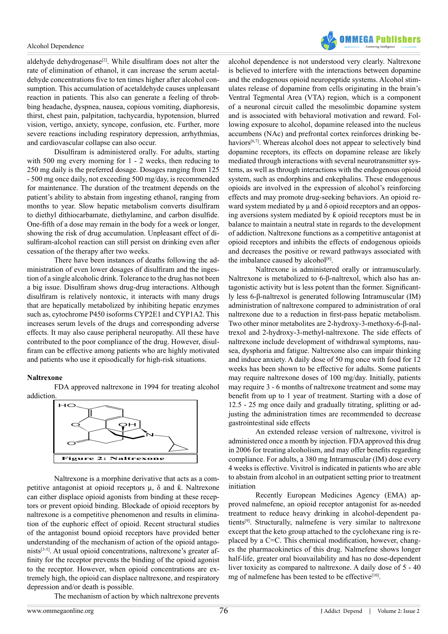#### Alcohol Dependence



aldehyde dehydrogenase<sup>[\[2\]](#page-3-1)</sup>. While disulfiram does not alter the rate of elimination of ethanol, it can increase the serum acetaldehyde concentrations five to ten times higher after alcohol consumption. This accumulation of acetaldehyde causes unpleasant reaction in patients. This also can generate a feeling of throbbing headache, dyspnea, nausea, copious vomiting, diaphoresis, thirst, chest pain, palpitation, tachycardia, hypotension, blurred vision, vertigo, anxiety, syncope, confusion, etc. Further, more severe reactions including respiratory depression, arrhythmias, and cardiovascular collapse can also occur.

Disulfiram is administered orally. For adults, starting with 500 mg every morning for 1 - 2 weeks, then reducing to 250 mg daily is the preferred dosage. Dosages ranging from 125 - 500 mg once daily, not exceeding 500 mg/day, is recommended for maintenance. The duration of the treatment depends on the patient's ability to abstain from ingesting ethanol, ranging from months to year. Slow hepatic metabolism converts disulfiram to diethyl dithiocarbamate, diethylamine, and carbon disulfide. One-fifth of a dose may remain in the body for a week or longer, showing the risk of drug accumulation. Unpleasant effect of disulfiram-alcohol reaction can still persist on drinking even after cessation of the therapy after two weeks.

There have been instances of deaths following the administration of even lower dosages of disulfiram and the ingestion of a single alcoholic drink. Tolerance to the drug has not been a big issue. Disulfiram shows drug-drug interactions. Although disulfiram is relatively nontoxic, it interacts with many drugs that are hepatically metabolized by inhibiting hepatic enzymes such as, cytochrome P450 isoforms CYP2E1 and CYP1A2. This increases serum levels of the drugs and corresponding adverse effects. It may also cause peripheral neuropathy. All these have contributed to the poor compliance of the drug. However, disulfiram can be effective among patients who are highly motivated and patients who use it episodically for high-risk situations.

#### **Naltrexone**

FDA approved naltrexone in 1994 for treating alcohol addiction



Naltrexone is a morphine derivative that acts as a competitive antagonist at opioid receptors  $\mu$ ,  $\delta$  and  $\hat{k}$ . Naltrexone can either displace opioid agonists from binding at these receptors or prevent opioid binding. Blockade of opioid receptors by naltrexone is a competitive phenomenon and results in elimination of the euphoric effect of opioid. Recent structural studies of the antagonist bound opioid receptors have provided better understanding of the mechanism of action of the opioid antagonists<sup>[3-5]</sup>. At usual opioid concentrations, naltrexone's greater affinity for the receptor prevents the binding of the opioid agonist to the receptor. However, when opioid concentrations are extremely high, the opioid can displace naltrexone, and respiratory depression and/or death is possible.

alcohol dependence is not understood very clearly. Naltrexone is believed to interfere with the interactions between dopamine and the endogenous opioid neuropeptide systems. Alcohol stimulates release of dopamine from cells originating in the brain's Ventral Tegmental Area (VTA) region, which is a component of a neuronal circuit called the mesolimbic dopamine system and is associated with behavioral motivation and reward. Following exposure to alcohol, dopamine released into the nucleus accumbens (NAc) and prefrontal cortex reinforces drinking behaviors<sup>[6,7]</sup>. Whereas alcohol does not appear to selectively bind dopamine receptors, its effects on dopamine release are likely mediated through interactions with several neurotransmitter systems, as well as through interactions with the endogenous opioid system, such as endorphins and enkephalins. These endogenous opioids are involved in the expression of alcohol's reinforcing effects and may promote drug-seeking behaviors. An opioid reward system mediated by  $\mu$  and  $\delta$  opioid receptors and an opposing aversions system mediated by ƙ opioid receptors must be in balance to maintain a neutral state in regards to the development of addiction. Naltrexone functions as a competitive antagonist at opioid receptors and inhibits the effects of endogenous opioids and decreases the positive or reward pathways associated with the imbalance caused by alcohol $[8]$ .

Naltrexone is administered orally or intramuscularly. Naltrexone is metabolized to 6-β-naltrexol, which also has antagonistic activity but is less potent than the former. Significantly less 6-β-naltrexol is generated following Intramuscular (IM) administration of naltrexone compared to administration of oral naltrexone due to a reduction in first-pass hepatic metabolism. Two other minor metabolites are 2-hydroxy-3-methoxy-6-β-naltrexol and 2-hydroxy-3-methyl-naltrexone. The side effects of naltrexone include development of withdrawal symptoms, nausea, dysphoria and fatigue. Naltrexone also can impair thinking and induce anxiety. A daily dose of 50 mg once with food for 12 weeks has been shown to be effective for adults. Some patients may require naltrexone doses of 100 mg/day. Initially, patients may require 3 - 6 months of naltrexone treatment and some may benefit from up to 1 year of treatment. Starting with a dose of 12.5 - 25 mg once daily and gradually titrating, splitting or adjusting the administration times are recommended to decrease gastrointestinal side effects

An extended release version of naltrexone, vivitrol is administered once a month by injection. FDA approved this drug in 2006 for treating alcoholism, and may offer benefits regarding compliance. For adults, a 380 mg Intramuscular (IM) dose every 4 weeks is effective. Vivitrol is indicated in patients who are able to abstain from alcohol in an outpatient setting prior to treatment initiation

Recently European Medicines Agency (EMA) approved nalmefene, an opioid receptor antagonist for as-needed treatment to reduce heavy drinking in alcohol-dependent patient[s\[9\]](#page-3-5). Structurally, nalmefene is very similar to naltrexone except that the keto group attached to the cyclohexane ring is replaced by a C=C. This chemical modification, however, changes the pharmacokinetics of this drug. Nalmefene shows longer half-life, greater oral bioavailability and has no dose-dependent liver toxicity as compared to naltrexone. A daily dose of 5 - 40 mg of nalmefene has been tested to be effective<sup>[10]</sup>.

The mechanism of action by which naltrexone prevents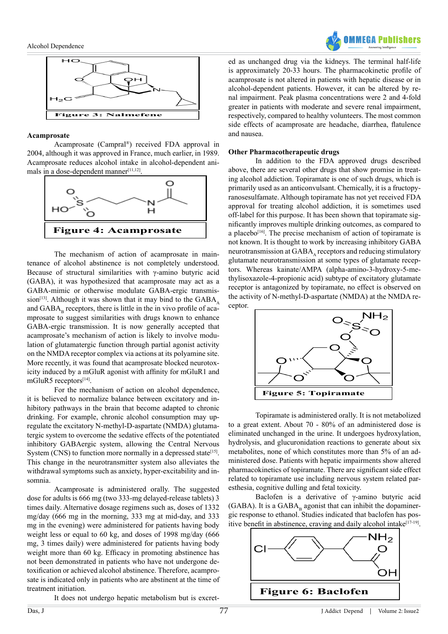



## **Acamprosate**

Acamprosate (Campral®) received FDA approval in 2004, although it was approved in France, much earlier, in 1989. Acamprosate reduces alcohol intake in alcohol-dependent ani-mals in a dose-dependent manner[\[11,12\].](#page-3-7)



The mechanism of action of acamprosate in maintenance of alcohol abstinence is not completely understood. Because of structural similarities with γ-amino butyric acid (GABA), it was hypothesized that acamprosate may act as a GABA-mimic or otherwise modulate GABA-ergic transmis-sion<sup>[\[13\]](#page-3-8)</sup>. Although it was shown that it may bind to the  $GABA$ . and  $GABA_n$  receptors, there is little in the in vivo profile of acamprosate to suggest similarities with drugs known to enhance GABA-ergic transmission. It is now generally accepted that acamprosate's mechanism of action is likely to involve modulation of glutamatergic function through partial agonist activity on the NMDA receptor complex via actions at its polyamine site. More recently, it was found that acamprosate blocked neurotoxicity induced by a mGluR agonist with affinity for mGluR1 and mGluR5 receptors<sup>[\[14\]](#page-3-9)</sup>.

For the mechanism of action on alcohol dependence, it is believed to normalize balance between excitatory and inhibitory pathways in the brain that become adapted to chronic drinking. For example, chronic alcohol consumption may upregulate the excitatory N-methyl-D-aspartate (NMDA) glutamatergic system to overcome the sedative effects of the potentiated inhibitory GABAergic system, allowing the Central Nervous System (CNS) to function more normally in a depressed state<sup>[\[15\]](#page-3-10)</sup>. This change in the neurotransmitter system also alleviates the withdrawal symptoms such as anxiety, hyper-excitability and insomnia.

Acamprosate is administered orally. The suggested dose for adults is 666 mg (two 333-mg delayed-release tablets) 3 times daily. Alternative dosage regimens such as, doses of 1332 mg/day (666 mg in the morning, 333 mg at mid-day, and 333 mg in the evening) were administered for patients having body weight less or equal to 60 kg, and doses of 1998 mg/day (666 mg, 3 times daily) were administered for patients having body weight more than 60 kg. Efficacy in promoting abstinence has not been demonstrated in patients who have not undergone detoxification or achieved alcohol abstinence. Therefore, acamprosate is indicated only in patients who are abstinent at the time of treatment initiation.

It does not undergo hepatic metabolism but is excret-

ed as unchanged drug via the kidneys. The terminal half-life is approximately 20-33 hours. The pharmacokinetic profile of acamprosate is not altered in patients with hepatic disease or in alcohol-dependent patients. However, it can be altered by renal impairment. Peak plasma concentrations were 2 and 4-fold greater in patients with moderate and severe renal impairment, respectively, compared to healthy volunteers. The most common side effects of acamprosate are headache, diarrhea, flatulence and nausea.

### **Other Pharmacotherapeutic drugs**

In addition to the FDA approved drugs described above, there are several other drugs that show promise in treating alcohol addiction. Topiramate is one of such drugs, which is primarily used as an anticonvulsant. Chemically, it is a fructopyranosesulfamate. Although topiramate has not yet received FDA approval for treating alcohol addiction, it is sometimes used off-label for this purpose. It has been shown that topiramate significantly improves multiple drinking outcomes, as compared to a placebo $[16]$ . The precise mechanism of action of topiramate is not known. It is thought to work by increasing inhibitory GABA neurotransmission at  $GABA$ , receptors and reducing stimulatory glutamate neurotransmission at some types of glutamate receptors. Whereas kainate/AMPA (alpha-amino-3-hydroxy-5-methylisoxazole-4-propionic acid) subtype of excitatory glutamate receptor is antagonized by topiramate, no effect is observed on the activity of N-methyl-D-aspartate (NMDA) at the NMDA receptor.



Topiramate is administered orally. It is not metabolized to a great extent. About 70 - 80% of an administered dose is eliminated unchanged in the urine. It undergoes hydroxylation, hydrolysis, and glucuronidation reactions to generate about six metabolites, none of which constitutes more than 5% of an administered dose. Patients with hepatic impairments show altered pharmacokinetics of topiramate. There are significant side effect related to topiramate use including nervous system related paresthesia, cognitive dulling and fetal toxicity.

Baclofen is a derivative of γ-amino butyric acid (GABA). It is a  $GABA_B$  agonist that can inhibit the dopaminergic response to ethanol. Studies indicated that baclofen has positive benefit in abstinence, craving and daily alcohol intake<sup>[17-19]</sup>.